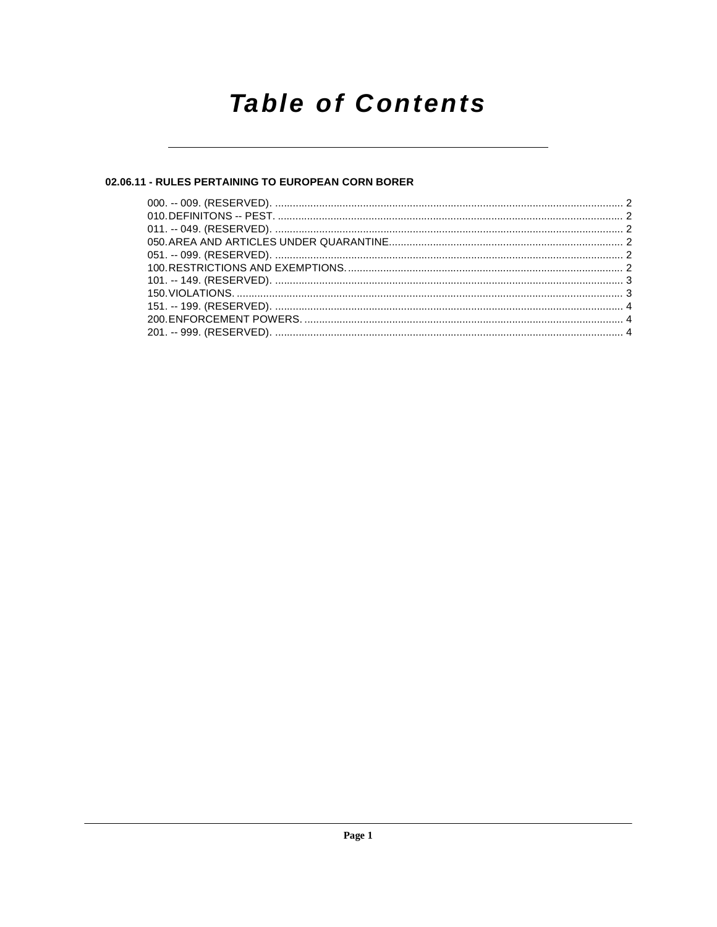# **Table of Contents**

# 02.06.11 - RULES PERTAINING TO EUROPEAN CORN BORER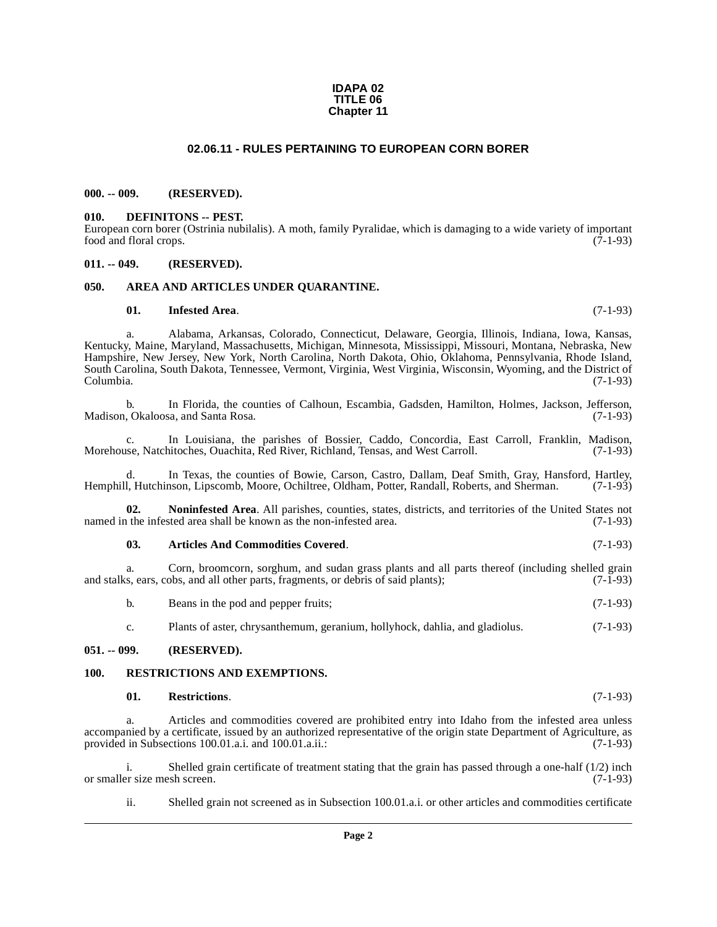#### **IDAPA 02 TITLE 06 Chapter 11**

## **02.06.11 - RULES PERTAINING TO EUROPEAN CORN BORER**

## <span id="page-1-1"></span><span id="page-1-0"></span>**000. -- 009. (RESERVED).**

#### <span id="page-1-9"></span><span id="page-1-2"></span>**010. DEFINITONS -- PEST.**

European corn borer (Ostrinia nubilalis). A moth, family Pyralidae, which is damaging to a wide variety of important food and floral crops. (7-1-93)

### <span id="page-1-3"></span>**011. -- 049. (RESERVED).**

### <span id="page-1-4"></span>**050. AREA AND ARTICLES UNDER QUARANTINE.**

#### <span id="page-1-10"></span><span id="page-1-7"></span>**01. Infested Area**. (7-1-93)

a. Alabama, Arkansas, Colorado, Connecticut, Delaware, Georgia, Illinois, Indiana, Iowa, Kansas, Kentucky, Maine, Maryland, Massachusetts, Michigan, Minnesota, Mississippi, Missouri, Montana, Nebraska, New Hampshire, New Jersey, New York, North Carolina, North Dakota, Ohio, Oklahoma, Pennsylvania, Rhode Island, South Carolina, South Dakota, Tennessee, Vermont, Virginia, West Virginia, Wisconsin, Wyoming, and the District of Columbia. (7-1-93)

b. In Florida, the counties of Calhoun, Escambia, Gadsden, Hamilton, Holmes, Jackson, Jefferson, Madison, Okaloosa, and Santa Rosa. (7-1-93)

c. In Louisiana, the parishes of Bossier, Caddo, Concordia, East Carroll, Franklin, Madison, Morehouse, Natchitoches, Ouachita, Red River, Richland, Tensas, and West Carroll.

In Texas, the counties of Bowie, Carson, Castro, Dallam, Deaf Smith, Gray, Hansford, Hartley, nson, Lipscomb, Moore, Ochiltree, Oldham, Potter, Randall, Roberts, and Sherman. (7-1-93) Hemphill, Hutchinson, Lipscomb, Moore, Ochiltree, Oldham, Potter, Randall, Roberts, and Sherman.

**02. Noninfested Area**. All parishes, counties, states, districts, and territories of the United States not named in the infested area shall be known as the non-infested area. (7-1-93)

#### <span id="page-1-11"></span><span id="page-1-8"></span>**03. Articles And Commodities Covered**. (7-1-93)

a. Corn, broomcorn, sorghum, and sudan grass plants and all parts thereof (including shelled grain and stalks, ears, cobs, and all other parts, fragments, or debris of said plants); (7-1-93)

b. Beans in the pod and pepper fruits; (7-1-93)

c. Plants of aster, chrysanthemum, geranium, hollyhock, dahlia, and gladiolus. (7-1-93)

## <span id="page-1-5"></span>**051. -- 099. (RESERVED).**

#### <span id="page-1-6"></span>**100. RESTRICTIONS AND EXEMPTIONS.**

#### <span id="page-1-13"></span><span id="page-1-12"></span>**01. Restrictions**. (7-1-93)

a. Articles and commodities covered are prohibited entry into Idaho from the infested area unless accompanied by a certificate, issued by an authorized representative of the origin state Department of Agriculture, as provided in Subsections 100.01.a.i. and 100.01.a.ii.: (7-1-93)

i. Shelled grain certificate of treatment stating that the grain has passed through a one-half (1/2) inch or smaller size mesh screen. (7-1-93)

ii. Shelled grain not screened as in Subsection 100.01.a.i. or other articles and commodities certificate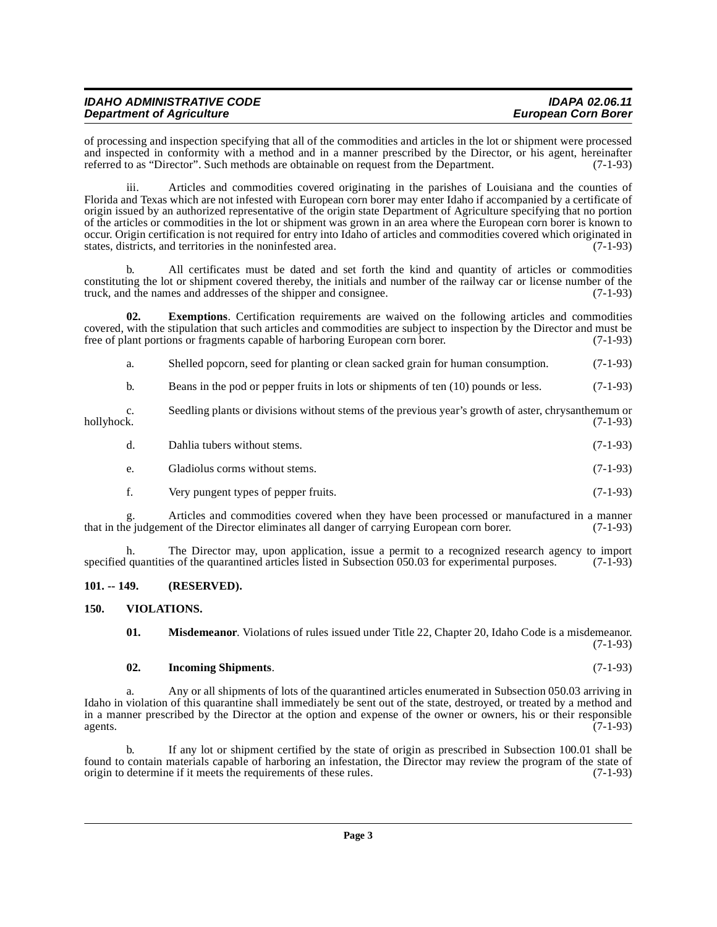| <b>IDAHO ADMINISTRATIVE CODE</b> | <b>IDAPA 02.06.11</b>      |
|----------------------------------|----------------------------|
| <b>Department of Agriculture</b> | <b>European Corn Borer</b> |

of processing and inspection specifying that all of the commodities and articles in the lot or shipment were processed and inspected in conformity with a method and in a manner prescribed by the Director, or his agent, hereinafter referred to as "Director". Such methods are obtainable on request from the Department. (7-1-93)

iii. Articles and commodities covered originating in the parishes of Louisiana and the counties of Florida and Texas which are not infested with European corn borer may enter Idaho if accompanied by a certificate of origin issued by an authorized representative of the origin state Department of Agriculture specifying that no portion of the articles or commodities in the lot or shipment was grown in an area where the European corn borer is known to occur. Origin certification is not required for entry into Idaho of articles and commodities covered which originated in states, districts, and territories in the noninfested area. (7-1-93)

b. All certificates must be dated and set forth the kind and quantity of articles or commodities constituting the lot or shipment covered thereby, the initials and number of the railway car or license number of the truck, and the names and addresses of the shipper and consignee. (7-1-93)

**02. Exemptions**. Certification requirements are waived on the following articles and commodities covered, with the stipulation that such articles and commodities are subject to inspection by the Director and must be free of plant portions or fragments capable of harboring European corn borer. (7-1-93) free of plant portions or fragments capable of harboring European corn borer.

<span id="page-2-2"></span>a. Shelled popcorn, seed for planting or clean sacked grain for human consumption. (7-1-93)

b. Beans in the pod or pepper fruits in lots or shipments of ten (10) pounds or less. (7-1-93)

c. Seedling plants or divisions without stems of the previous year's growth of aster, chrysanthemum or hollyhock. (7-1-93)

- d. Dahlia tubers without stems. (7-1-93)
- e. Gladiolus corms without stems. (7-1-93)
- f. Very pungent types of pepper fruits. (7-1-93)

g. Articles and commodities covered when they have been processed or manufactured in a manner<br>e judgement of the Director eliminates all danger of carrying European corn borer. (7-1-93) that in the judgement of the Director eliminates all danger of carrying European corn borer.

h. The Director may, upon application, issue a permit to a recognized research agency to import a numeral during the quarantined articles listed in Subsection 050.03 for experimental purposes. (7-1-93) specified quantities of the quarantined articles listed in Subsection 050.03 for experimental purposes.

### <span id="page-2-0"></span>**101. -- 149. (RESERVED).**

### <span id="page-2-1"></span>**150. VIOLATIONS.**

<span id="page-2-5"></span><span id="page-2-4"></span>**01. Misdemeanor**. Violations of rules issued under Title 22, Chapter 20, Idaho Code is a misdemeanor. (7-1-93)

### <span id="page-2-3"></span>**02. Incoming Shipments**. (7-1-93)

a. Any or all shipments of lots of the quarantined articles enumerated in Subsection 050.03 arriving in Idaho in violation of this quarantine shall immediately be sent out of the state, destroyed, or treated by a method and in a manner prescribed by the Director at the option and expense of the owner or owners, his or their responsible agents.  $(7-1-93)$ agents.  $(7-1-93)$ 

b. If any lot or shipment certified by the state of origin as prescribed in Subsection 100.01 shall be found to contain materials capable of harboring an infestation, the Director may review the program of the state of origin to determine if it meets the requirements of these rules. (7-1-93) origin to determine if it meets the requirements of these rules.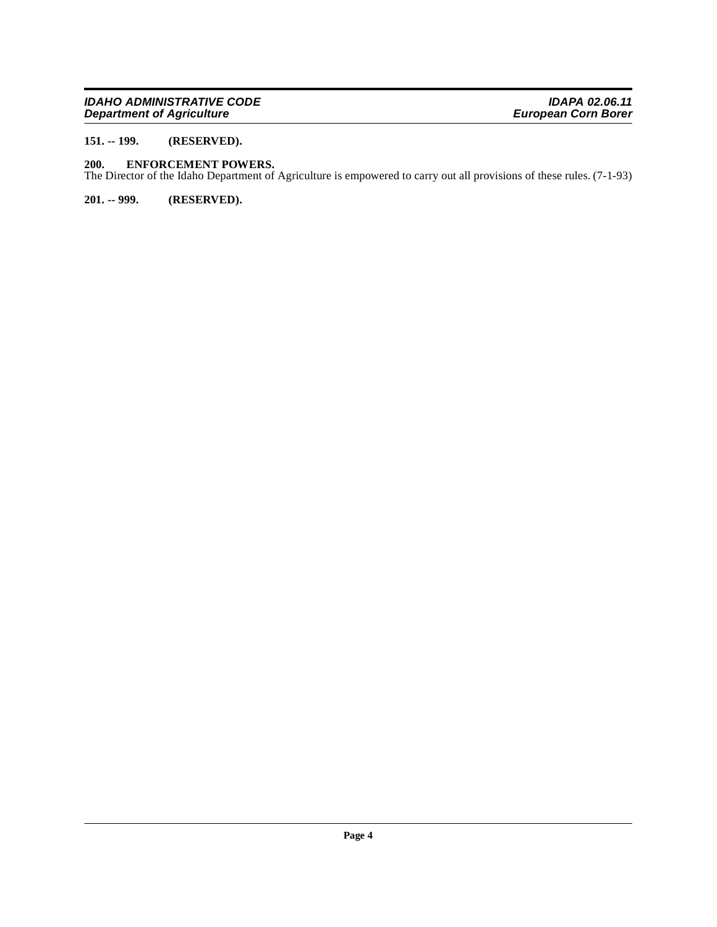## **IDAHO ADMINISTRATIVE CODE IDAPA 02.06.11 Department of Agriculture European Corn Borer**

# <span id="page-3-0"></span>**151. -- 199. (RESERVED).**

### <span id="page-3-3"></span><span id="page-3-1"></span>**200. ENFORCEMENT POWERS.**

The Director of the Idaho Department of Agriculture is empowered to carry out all provisions of these rules. (7-1-93)

<span id="page-3-2"></span>**201. -- 999. (RESERVED).**